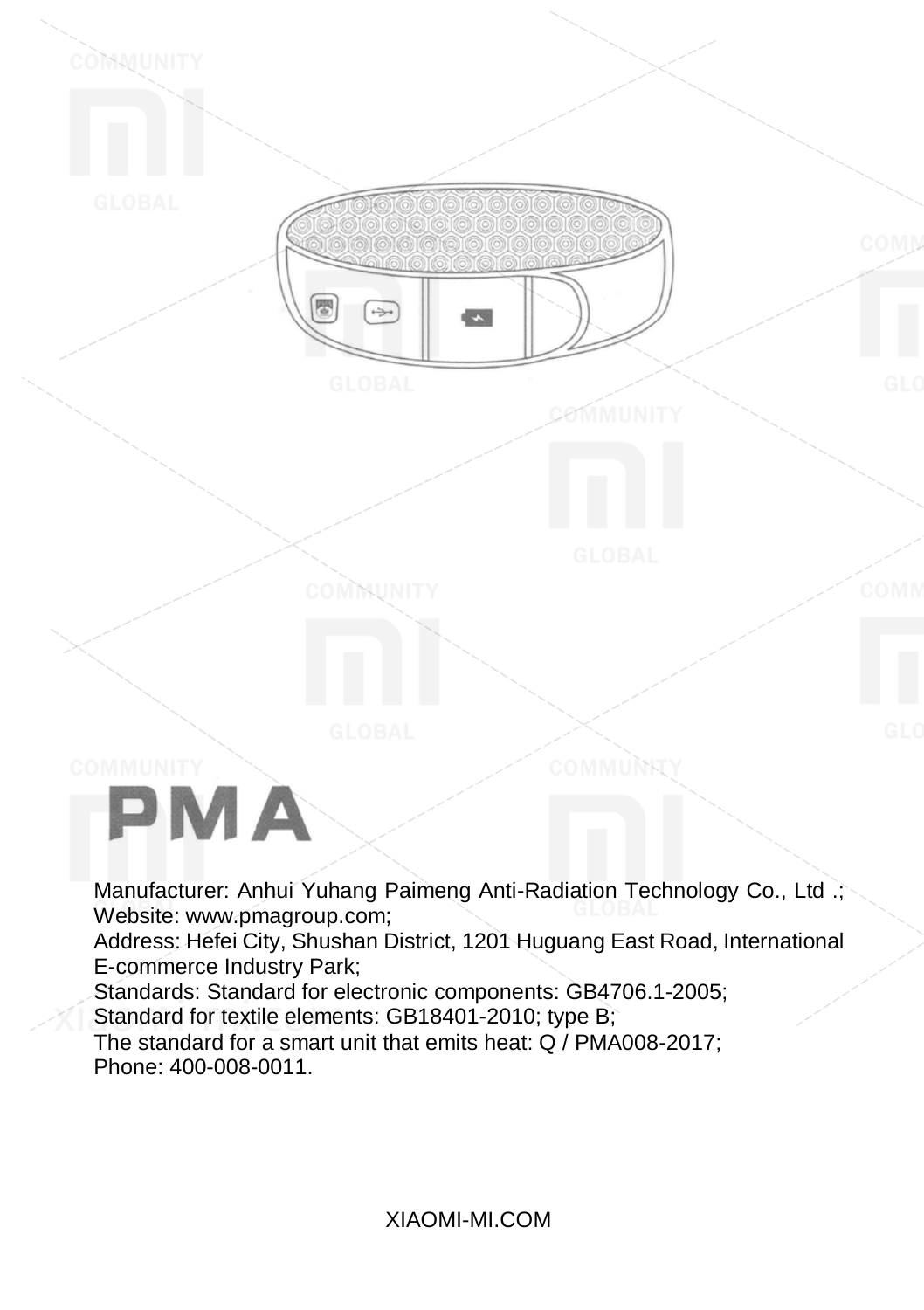PMA

COMMUNITY

Manufacturer: Anhui Yuhang Paimeng Anti-Radiation Technology Co., Ltd .; Website: www.pmagroup.com;

Address: Hefei City, Shushan District, 1201 Huguang East Road, International E-commerce Industry Park;

Standards: Standard for electronic components: GB4706.1-2005;

Standard for textile elements: GB18401-2010; type B;

廖

 $\Rightarrow$ 

COMMUNITY

The standard for a smart unit that emits heat: Q / PMA008-2017; Phone: 400-008-0011.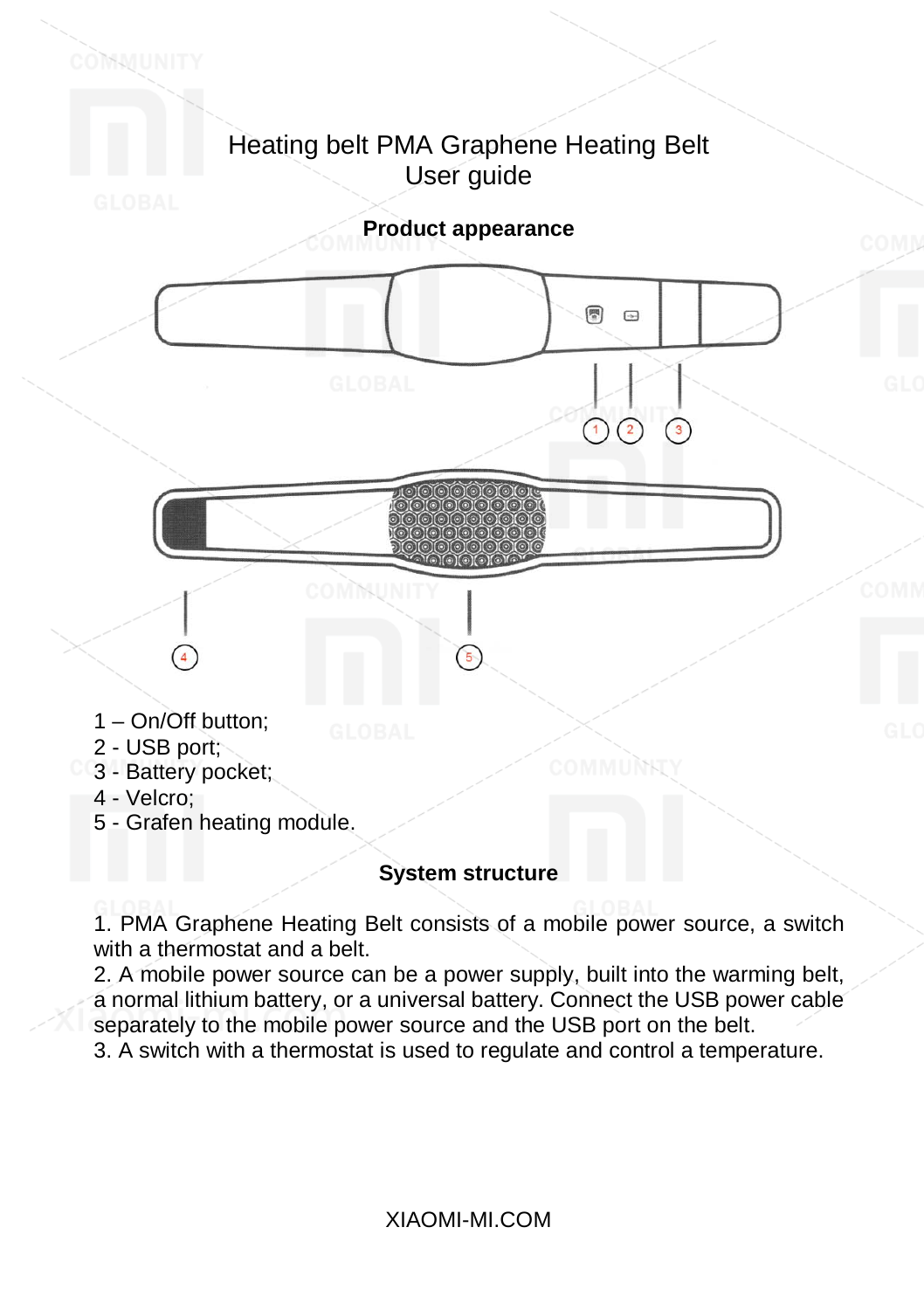

# 5 - Grafen heating module.

# **System structure**

1. PMA Graphene Heating Belt consists of a mobile power source, a switch with a thermostat and a belt.

2. A mobile power source can be a power supply, built into the warming belt, a normal lithium battery, or a universal battery. Connect the USB power cable separately to the mobile power source and the USB port on the belt.

3. A switch with a thermostat is used to regulate and control a temperature.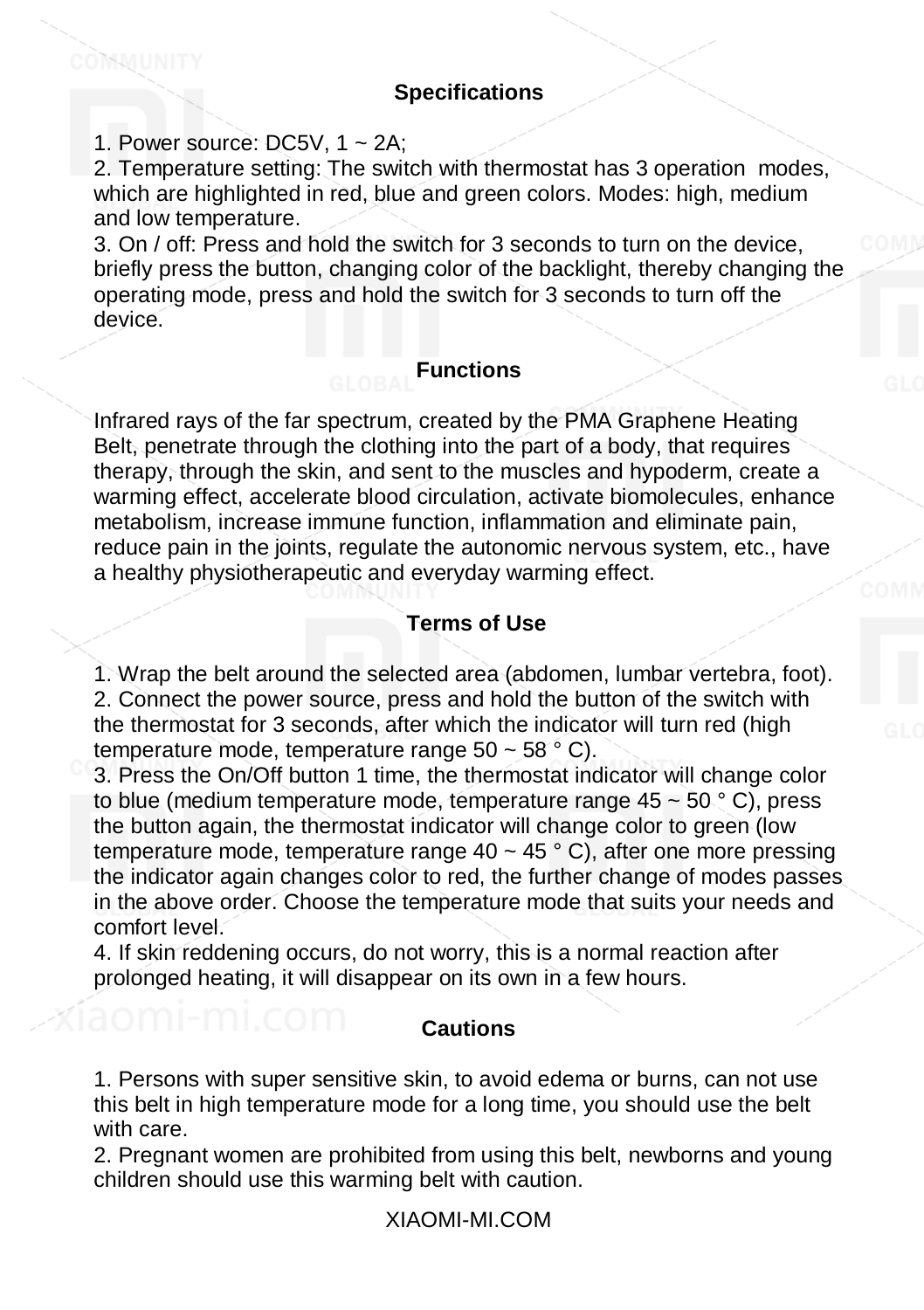#### **Specifications**

1. Power source:  $DC5V$ , 1 ~ 2A;

COMMUNITY

2. Temperature setting: The switch with thermostat has 3 operation modes, which are highlighted in red, blue and green colors. Modes: high, medium and low temperature.

3. On / off: Press and hold the switch for 3 seconds to turn on the device, briefly press the button, changing color of the backlight, thereby changing the operating mode, press and hold the switch for 3 seconds to turn off the device.

### **Functions**

Infrared rays of the far spectrum, created by the PMA Graphene Heating Belt, penetrate through the clothing into the part of a body, that requires therapy, through the skin, and sent to the muscles and hypoderm, create a warming effect, accelerate blood circulation, activate biomolecules, enhance metabolism, increase immune function, inflammation and eliminate pain, reduce pain in the joints, regulate the autonomic nervous system, etc., have a healthy physiotherapeutic and everyday warming effect.

## **Terms of Use**

1. Wrap the belt around the selected area (abdomen, lumbar vertebra, foot). 2. Connect the power source, press and hold the button of the switch with the thermostat for 3 seconds, after which the indicator will turn red (high temperature mode, temperature range  $50 \sim 58^\circ$  C).

3. Press the On/Off button 1 time, the thermostat indicator will change color to blue (medium temperature mode, temperature range  $45 \sim 50\degree$  C), press the button again, the thermostat indicator will change color to green (low temperature mode, temperature range  $40 \sim 45$  ° C), after one more pressing the indicator again changes color to red, the further change of modes passes in the above order. Choose the temperature mode that suits your needs and comfort level.

4. If skin reddening occurs, do not worry, this is a normal reaction after prolonged heating, it will disappear on its own in a few hours.

#### **Cautions**

1. Persons with super sensitive skin, to avoid edema or burns, can not use this belt in high temperature mode for a long time, you should use the belt with care.

2. Pregnant women are prohibited from using this belt, newborns and young children should use this warming belt with caution.

XIAOMI-MI.COM